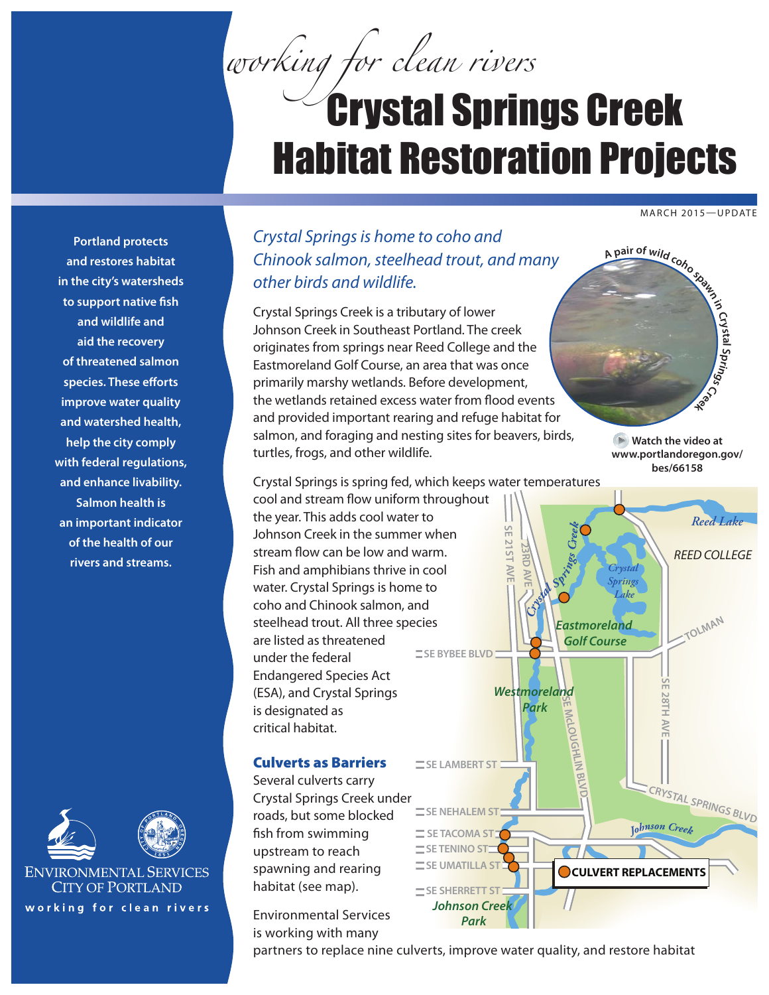*working for clean rivers*

## Crystal Springs Creek Habitat Restoration Projects

MARCH 2015—UPDATE

**Portland protects and restores habitat in the city's watersheds to support native fish and wildlife and aid the recovery of threatened salmon species. These efforts improve water quality and watershed health, help the city comply with federal regulations, and enhance livability. Salmon health is an important indicator of the health of our rivers and streams.**





**ENVIRONMENTAL SERVICES CITY OF PORTLAND** working for clean rivers

## *Crystal Springs is home to coho and Chinook salmon, steelhead trout, and many other birds and wildlife.*

Crystal Springs Creek is a tributary of lower Johnson Creek in Southeast Portland. The creek originates from springs near Reed College and the Eastmoreland Golf Course, an area that was once primarily marshy wetlands. Before development, the wetlands retained excess water from flood events and provided important rearing and refuge habitat for salmon, and foraging and nesting sites for beavers, birds, turtles, frogs, and other wildlife.

under the federal

is designated as critical habitat.

upstream to reach

habitat (see map).

is working with many

**A <sup>p</sup>ai<sup>r</sup> <sup>o</sup><sup>f</sup> <sup>w</sup>il<sup>d</sup> <sup>c</sup>oh<sup>o</sup> <sup>s</sup>paw<sup>n</sup> <sup>i</sup><sup>n</sup> Crystal Spr ni gs R**eek

**Watch the video at [www.portlandoregon.gov/](http://www.portlandoregon.gov/bes/66158) [bes/66158](http://www.portlandoregon.gov/bes/66158)**



partners to replace nine culverts, improve water quality, and restore habitat